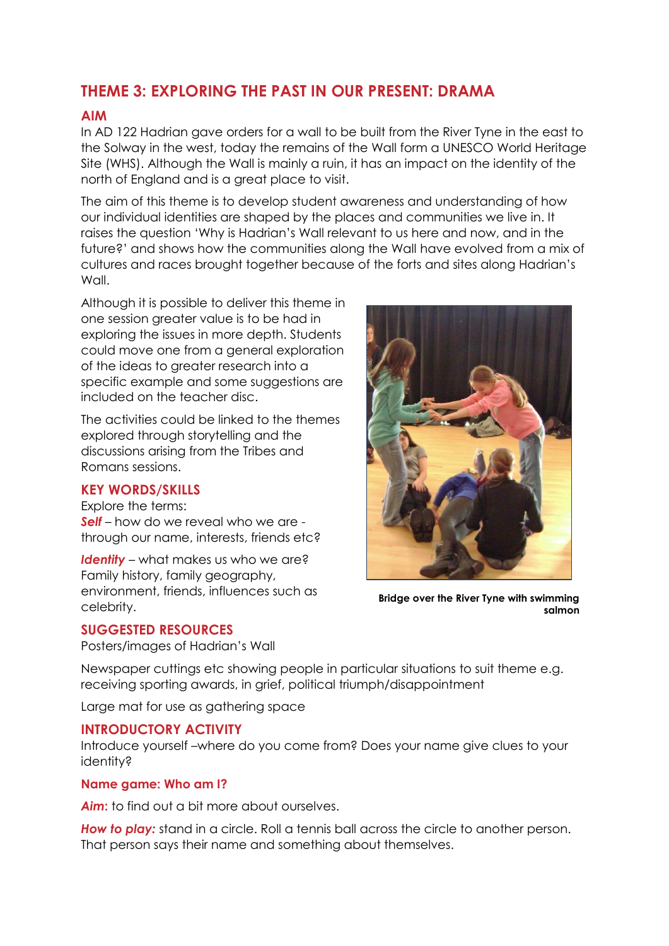# **THEME 3: EXPLORING THE PAST IN OUR PRESENT: DRAMA**

## **AIM**

In AD 122 Hadrian gave orders for a wall to be built from the River Tyne in the east to the Solway in the west, today the remains of the Wall form a UNESCO World Heritage Site (WHS). Although the Wall is mainly a ruin, it has an impact on the identity of the north of England and is a great place to visit.

The aim of this theme is to develop student awareness and understanding of how our individual identities are shaped by the places and communities we live in. It raises the question 'Why is Hadrian's Wall relevant to us here and now, and in the future?' and shows how the communities along the Wall have evolved from a mix of cultures and races brought together because of the forts and sites along Hadrian's Wall.

Although it is possible to deliver this theme in one session greater value is to be had in exploring the issues in more depth. Students could move one from a general exploration of the ideas to greater research into a specific example and some suggestions are included on the teacher disc.

The activities could be linked to the themes explored through storytelling and the discussions arising from the Tribes and Romans sessions.

#### **KEY WORDS/SKILLS**

Explore the terms: *Self* – how do we reveal who we are through our name, interests, friends etc?

*Identity* – what makes us who we are? Family history, family geography, environment, friends, influences such as celebrity.

### **SUGGESTED RESOURCES**

Posters/images of Hadrian's Wall



**Bridge over the River Tyne with swimming salmon**

Newspaper cuttings etc showing people in particular situations to suit theme e.g. receiving sporting awards, in grief, political triumph/disappointment

Large mat for use as gathering space

### **INTRODUCTORY ACTIVITY**

Introduce yourself –where do you come from? Does your name give clues to your identity?

#### **Name game: Who am I?**

*Aim***:** to find out a bit more about ourselves.

**How to play:** stand in a circle. Roll a tennis ball across the circle to another person. That person says their name and something about themselves.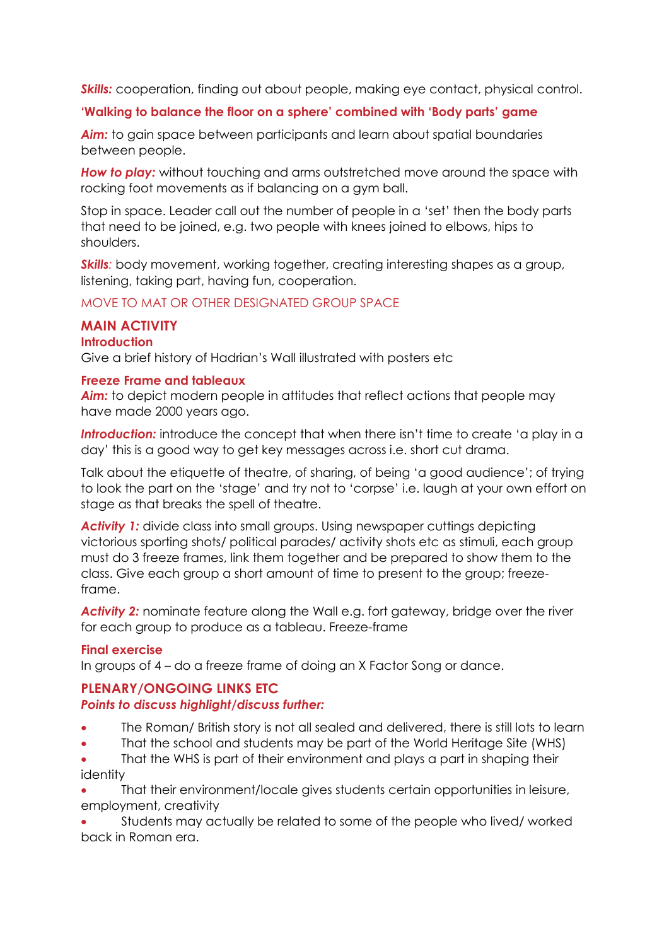**Skills:** cooperation, finding out about people, making eye contact, physical control.

## **'Walking to balance the floor on a sphere' combined with 'Body parts' game**

*Aim:* to gain space between participants and learn about spatial boundaries between people.

**How to play:** without touching and arms outstretched move around the space with rocking foot movements as if balancing on a gym ball.

Stop in space. Leader call out the number of people in a 'set' then the body parts that need to be joined, e.g. two people with knees joined to elbows, hips to shoulders.

**Skills**: body movement, working together, creating interesting shapes as a group, listening, taking part, having fun, cooperation.

## MOVE TO MAT OR OTHER DESIGNATED GROUP SPACE

### **MAIN ACTIVITY**

#### **Introduction**

Give a brief history of Hadrian's Wall illustrated with posters etc

#### **Freeze Frame and tableaux**

**Aim:** to depict modern people in attitudes that reflect actions that people may have made 2000 years ago.

**Introduction:** introduce the concept that when there isn't time to create 'a play in a day' this is a good way to get key messages across i.e. short cut drama.

Talk about the etiquette of theatre, of sharing, of being 'a good audience'; of trying to look the part on the 'stage' and try not to 'corpse' i.e. laugh at your own effort on stage as that breaks the spell of theatre.

**Activity 1:** divide class into small groups. Using newspaper cuttings depicting victorious sporting shots/ political parades/ activity shots etc as stimuli, each group must do 3 freeze frames, link them together and be prepared to show them to the class. Give each group a short amount of time to present to the group; freezeframe.

*Activity 2:* nominate feature along the Wall e.g. fort gateway, bridge over the river for each group to produce as a tableau. Freeze-frame

### **Final exercise**

In groups of 4 – do a freeze frame of doing an X Factor Song or dance.

### **PLENARY/ONGOING LINKS ETC** *Points to discuss highlight/discuss further:*

- The Roman/ British story is not all sealed and delivered, there is still lots to learn
- That the school and students may be part of the World Heritage Site (WHS)
- That the WHS is part of their environment and plays a part in shaping their identity
- That their environment/locale gives students certain opportunities in leisure, employment, creativity

 Students may actually be related to some of the people who lived/ worked back in Roman era.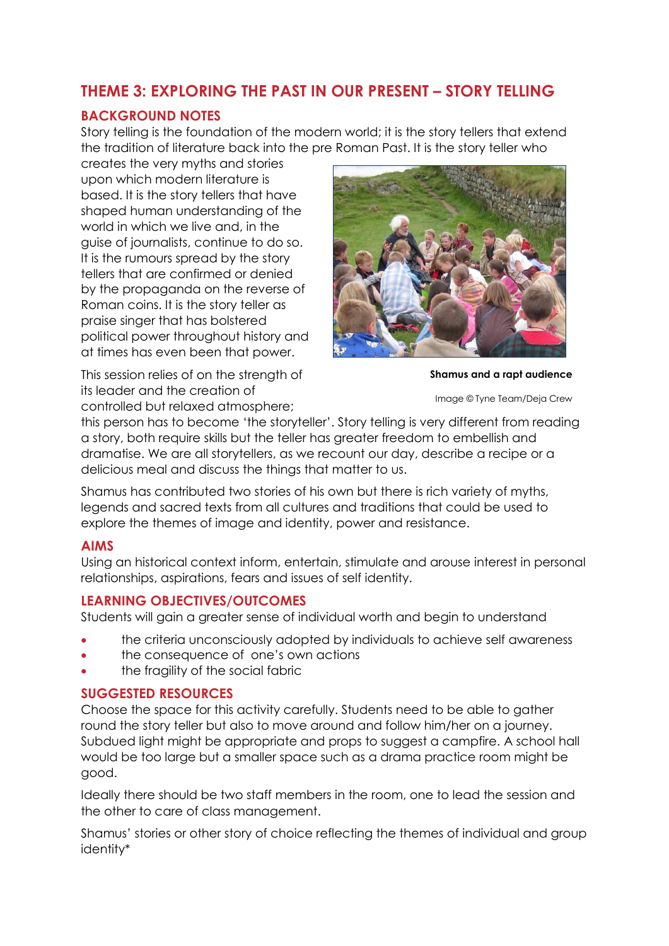# **THEME 3: EXPLORING THE PAST IN OUR PRESENT – STORY TELLING**

# **BACKGROUND NOTES**

Story telling is the foundation of the modern world; it is the story tellers that extend the tradition of literature back into the pre Roman Past. It is the story teller who

creates the very myths and stories upon which modern literature is based. It is the story tellers that have shaped human understanding of the world in which we live and, in the guise of journalists, continue to do so. It is the rumours spread by the story tellers that are confirmed or denied by the propaganda on the reverse of Roman coins. It is the story teller as praise singer that has bolstered political power throughout history and at times has even been that power.

This session relies of on the strength of its leader and the creation of



**Shamus and a rapt audience**

Image © Tyne Team/Deja Crew

controlled but relaxed atmosphere;

this person has to become 'the storyteller'. Story telling is very different from reading a story, both require skills but the teller has greater freedom to embellish and dramatise. We are all storytellers, as we recount our day, describe a recipe or a delicious meal and discuss the things that matter to us.

Shamus has contributed two stories of his own but there is rich variety of myths, legends and sacred texts from all cultures and traditions that could be used to explore the themes of image and identity, power and resistance.

### **AIMS**

Using an historical context inform, entertain, stimulate and arouse interest in personal relationships, aspirations, fears and issues of self identity.

# **LEARNING OBJECTIVES/OUTCOMES**

Students will gain a greater sense of individual worth and begin to understand

- the criteria unconsciously adopted by individuals to achieve self awareness
- the consequence of one's own actions
- the fragility of the social fabric

# **SUGGESTED RESOURCES**

Choose the space for this activity carefully. Students need to be able to gather round the story teller but also to move around and follow him/her on a journey. Subdued light might be appropriate and props to suggest a campfire. A school hall would be too large but a smaller space such as a drama practice room might be good.

Ideally there should be two staff members in the room, one to lead the session and the other to care of class management.

Shamus' stories or other story of choice reflecting the themes of individual and group identity\*